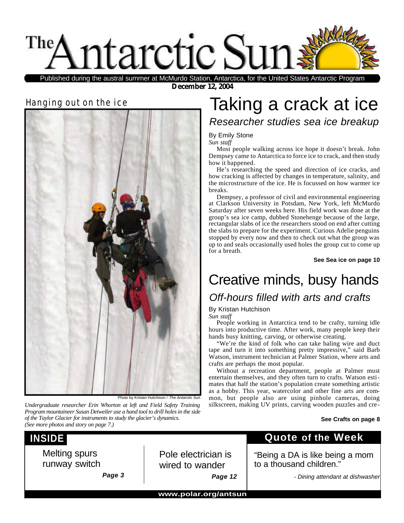

**December 12, 2004** Published during the austral summer at McMurdo Station, Antarctica, for the United States Antarctic Program

### Hanging out on the ice



Photo by Kristan Hutchison / *The Antarctic Sun*

*Undergraduate researcher Erin Whorton at left and Field Safety Training Program mountaineer Susan Detweiler use a hand tool to drill holes in the side of the Taylor Glacier for instruments to study the glacier's dynamics. (See more photos and story on page 7.)*

## Taking a crack at ice

*Researcher studies sea ice breakup*

### By Emily Stone

*Sun staff*

Most people walking across ice hope it doesn't break. John Dempsey came to Antarctica to force ice to crack, and then study how it happened.

He's researching the speed and direction of ice cracks, and how cracking is affected by changes in temperature, salinity, and the microstructure of the ice. He is focussed on how warmer ice breaks.

Dempsey, a professor of civil and environmental engineering at Clarkson University in Potsdam, New York, left McMurdo Saturday after seven weeks here. His field work was done at the group's sea ice camp, dubbed Stonehenge because of the large, rectangular slabs of ice the researchers stood on end after cutting the slabs to prepare for the experiment. Curious Adelie penguins stopped by every now and then to check out what the group was up to and seals occasionally used holes the group cut to come up for a breath.

**See Sea ice on page 10**

## Creative minds, busy hands

### *Off-hours filled with arts and crafts*

By Kristan Hutchison

*Sun staff*

People working in Antarctica tend to be crafty, turning idle hours into productive time. After work, many people keep their hands busy knitting, carving, or otherwise creating.

"We're the kind of folk who can take baling wire and duct tape and turn it into something pretty impressive," said Barb Watson, instrument technician at Palmer Station, where arts and crafts are perhaps the most popular.

Without a recreation department, people at Palmer must entertain themselves, and they often turn to crafts. Watson estimates that half the station's population create something artistic as a hobby. This year, watercolor and other fine arts are common, but people also are using pinhole cameras, doing silkscreen, making UV prints, carving wooden puzzles and cre-

#### **See Crafts on page 8**

### **INSIDE**

Melting spurs runway switch

*Page 3*

Pole electrician is wired to wander *Page 12* **Quote of the Week**

"Being a DA is like being a mom to a thousand children."

*- Dining attendant at dishwasher*

**www.polar.org/antsun**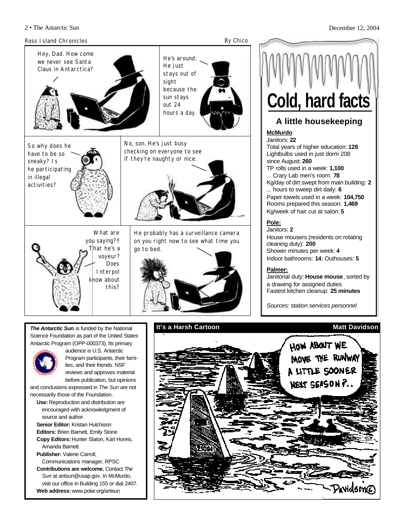#### 2 • The Antarctic Sun December 12, 2004





### Janitors: **2**

House mousers (residents on rotating cleaning duty): **200** Shower minutes per week: **4**  Indoor bathrooms: **14**; Outhouses: **5**

### **Palmer:**

Janitorial duty: **House mouse**, sorted by a drawing for assigned duties Fastest kitchen cleanup: **25 minutes**

*Sources: station services personnel*



*The Antarctic Sun* is funded by the National Science Foundation as part of the United States Antarctic Program (OPP-000373). Its primary



audience is U.S. Antarctic Program participants, their families, and their friends. NSF reviews and approves material before publication, but opinions

and conclusions expressed in *The Sun* are not necessarily those of the Foundation.

- **Use:** Reproduction and distribution are encouraged with acknowledgment of source and author.
- **Senior Editor:** Kristan Hutchison **Editors:** Brien Barnett, Emily Stone
- **Copy Editors:** Hunter Slaton, Karl Horeis, Amanda Barnett
- **Publisher:** Valerie Carroll, Communications manager, RPSC
- **Contributions are welcome.** Contact *The Sun* at antsun@usap.gov. In McMurdo, visit our office in Building 155 or dial 2407. **Web address:** www.polar.org/antsun

### **It's a Harsh Cartoon Matt Davidson**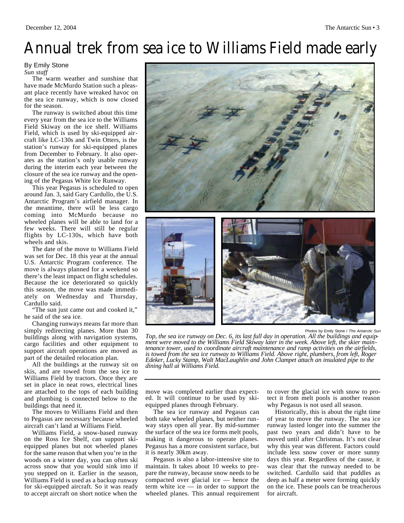## Annual trek from sea ice to Williams Field made early

#### By Emily Stone *Sun staff*

The warm weather and sunshine that have made McMurdo Station such a pleasant place recently have wreaked havoc on the sea ice runway, which is now closed for the season.

The runway is switched about this time every year from the sea ice to the Williams Field Skiway on the ice shelf. Williams Field, which is used by ski-equipped aircraft like LC-130s and Twin Otters, is the station's runway for ski-equipped planes from December to February. It also operates as the station's only usable runway during the interim each year between the closure of the sea ice runway and the opening of the Pegasus White Ice Runway.

This year Pegasus is scheduled to open around Jan. 3, said Gary Cardullo, the U.S. Antarctic Program's airfield manager. In the meantime, there will be less cargo coming into McMurdo because no wheeled planes will be able to land for a few weeks. There will still be regular flights by LC-130s, which have both wheels and skis.

The date of the move to Williams Field was set for Dec. 18 this year at the annual U.S. Antarctic Program conference. The move is always planned for a weekend so there's the least impact on flight schedules. Because the ice deteriorated so quickly this season, the move was made immediately on Wednesday and Thursday, Cardullo said.

"The sun just came out and cooked it," he said of the sea ice.

Changing runways means far more than simply redirecting planes. More than 30 buildings along with navigation systems, cargo facilities and other equipment to support aircraft operations are moved as part of the detailed relocation plan.

All the buildings at the runway sit on skis, and are towed from the sea ice to Williams Field by tractors. Once they are set in place in neat rows, electrical lines are attached to the tops of each building and plumbing is connected below to the buildings that need it.

The moves to Williams Field and then to Pegasus are necessary because wheeled aircraft can't land at Williams Field.

Williams Field, a snow-based runway on the Ross Ice Shelf, can support skiequipped planes but not wheeled planes for the same reason that when you're in the woods on a winter day, you can often ski across snow that you would sink into if you stepped on it. Earlier in the season, Williams Field is used as a backup runway for ski-equipped aircraft. So it was ready to accept aircraft on short notice when the



Photos by Emily Stone / *The Antarctic Sun*

*Top, the sea ice runway on Dec. 6, its last full day in operation. All the buildings and equipment were moved to the Williams Field Skiway later in the week. Above left, the skier maintenance tower, used to coordinate aircraft maintenance and ramp activities on the airfields, is towed from the sea ice runway to Williams Field. Above right, plumbers, from left, Roger Edeker, Lucky Stamp, Walt MacLaughlin and John Clampet attach an insulated pipe to the dining hall at Williams Field.*

move was completed earlier than expected. It will continue to be used by skiequipped planes through February.

The sea ice runway and Pegasus can both take wheeled planes, but neither runway stays open all year. By mid-summer the surface of the sea ice forms melt pools, making it dangerous to operate planes. Pegasus has a more consistent surface, but it is nearly 30km away.

Pegasus is also a labor-intensive site to maintain. It takes about 10 weeks to prepare the runway, because snow needs to be compacted over glacial ice — hence the term white ice — in order to support the wheeled planes. This annual requirement to cover the glacial ice with snow to protect it from melt pools is another reason why Pegasus is not used all season.

Historically, this is about the right time of year to move the runway. The sea ice runway lasted longer into the summer the past two years and didn't have to be moved until after Christmas. It's not clear why this year was different. Factors could include less snow cover or more sunny days this year. Regardless of the cause, it was clear that the runway needed to be switched. Cardullo said that puddles as deep as half a meter were forming quickly on the ice. These pools can be treacherous for aircraft.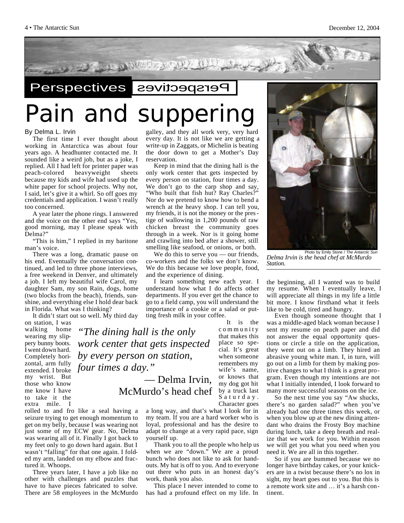

# Pain and suppering

*"The dining hall is the only*

*work center that gets inspected*

#### By Delma L. Irvin

The first time I ever thought about working in Antarctica was about four years ago. A headhunter contacted me. It sounded like a weird job, but as a joke, I replied. All I had left for printer paper was peach-colored heavyweight sheets because my kids and wife had used up the white paper for school projects. Why not, I said, let's give it a whirl. So off goes my credentials and application. I wasn't really too concerned.

A year later the phone rings. I answered and the voice on the other end says "Yes, good morning, may I please speak with Delma?"

"This is him," I replied in my baritone man's voice.

There was a long, dramatic pause on his end. Eventually the conversation continued, and led to three phone interviews, a free weekend in Denver, and ultimately a job. I left my beautiful wife Carol, my daughter Sam, my son Rain, dogs, home (two blocks from the beach), friends, sunshine, and everything else I hold dear back in Florida. What was I thinking?

It didn't start out so well. My third day on station, I was

walking home wearing my slippery bunny boots. I went down hard. Completely horizontal, arm fully extended. I broke *four times a day."*  my wrist. But those who know me know I have to take it the extra mile. *by every person on station,*

rolled to and fro like a seal having a seizure trying to get enough momentum to get on my belly, because I was wearing not just some of my ECW gear. No, Delma was wearing all of it. Finally I got back to my feet only to go down hard again. But I wasn't "falling" for that one again. I folded my arm, landed on my elbow and fractured it. Whoops.

Three years later, I have a job like no other with challenges and puzzles that have to have pieces fabricated to solve. There are 58 employees in the McMurdo galley, and they all work very, very hard every day. It is not like we are getting a write-up in Zaggats, or Michelin is beating the door down to get a Mother's Day reservation.

Keep in mind that the dining hall is the only work center that gets inspected by every person on station, four times a day. We don't go to the carp shop and say, "Who built that fish hut? Ray Charles?" Nor do we pretend to know how to bend a wrench at the heavy shop. I can tell you, my friends, it is not the money or the prestige of wallowing in 1,200 pounds of raw chicken breast the community goes through in a week. Nor is it going home and crawling into bed after a shower, still smelling like seafood, or onions, or both.

We do this to serve you — our friends, co-workers and the folks we don't know. We do this because we love people, food, and the experience of dining.

I learn something new each year. I understand how what I do affects other departments. If you ever get the chance to go to a field camp, you will understand the importance of a cookie or a salad or putting fresh milk in your coffee.

> It is the community that makes this place so special. It's great when someone remembers my wife's name, or knows that my dog got hit by a truck last Saturday. Character goes

a long way, and that's what I look for in my team. If you are a hard worker who is loyal, professional and has the desire to adapt to change at a very rapid pace, sign yourself up.

— Delma Irvin,

McMurdo's head chef

Thank you to all the people who help us when we are "down." We are a proud bunch who does not like to ask for handouts. My hat is off to you. And to everyone out there who puts in an honest day's work, thank you also.

This place I never intended to come to has had a profound effect on my life. In



*Delma Irvin is the head chef at McMurdo Station.*

the beginning, all I wanted was to build my resume. When I eventually leave, I will appreciate all things in my life a little bit more. I know firsthand what it feels like to be cold, tired and hungry.

Even though someone thought that I was a middle-aged black woman because I sent my resume on peach paper and did not answer the equal opportunity questions or circle a title on the application, they went out on a limb. They hired an abrasive young white man. I, in turn, will go out on a limb for them by making positive changes to what I think is a great program. Even though my intentions are not what I initially intended, I look forward to many more successful seasons on the ice.

So the next time you say "Aw shucks, there's no garden salad?" when you've already had one three times this week, or when you blow up at the new dining attendant who drains the Frosty Boy machine during lunch, take a deep breath and realize that we work for you. Within reason we will get you what you need when you need it. We are all in this together.

So if you are bummed because we no longer have birthday cakes, or your knickers are in a twist because there's no lox in sight, my heart goes out to you. But this is a remote work site and … it's a harsh continent.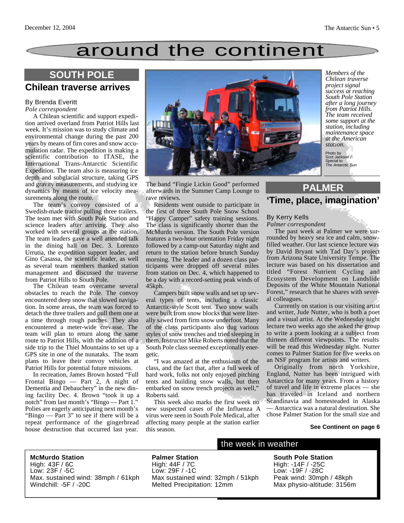## around the continent

### **SOUTH POLE**

### **Chilean traverse arrives**

#### By Brenda Everitt *Pole correspondent*

A Chilean scientific and support expedition arrived overland from Patriot Hills last week. It's mission was to study climate and environmental change during the past 200 years by means of firn cores and snow accumulation radar. The expedition is making a scientific contribution to ITASE, the International Trans-Antarctic Scientific Expedition. The team also is measuring ice depth and subglacial structure, taking GPS and gravity measurements, and studying ice dynamics by means of ice velocity measurements along the route.

The team's convoy consisted of a Swedish-made tractor pulling three trailers. The team met with South Pole Station and science leaders after arriving. They also worked with several groups at the station. The team leaders gave a well attended talk in the dining hall on Dec. 3. Lorenzo Urrutia, the expedition support leader, and Gino Casassa, the scientific leader, as well as several team members thanked station management and discussed the traverse from Patriot Hills to South Pole.

The Chilean team overcame several obstacles to reach the Pole. The convoy encountered deep snow that slowed navigation. In some areas, the team was forced to detach the three trailers and pull them one at a time through rough patches. They also encountered a meter-wide crevasse. The team will plan to return along the same route to Patriot Hills, with the addition of a side trip to the Thiel Mountains to set up a GPS site in one of the nunataks. The team plans to leave their convoy vehicles at Patriot Hills for potential future missions.

In recreation, James Brown hosted "Full Frontal Bingo — Part 2, A night of Dementia and Debauchery" in the new dining facility Dec. 4. Brown "took it up a notch" from last month's "Bingo — Part 1." Polies are eagerly anticipating next month's "Bingo — Part 3" to see if there will be a repeat performance of the gingerbread house destruction that occurred last year.



*Members of the Chilean traverse project signal success at reaching South Pole Station after a long journey from Patriot Hills. The team received some support at the station, including maintenance space at the American station.*

Photo by Scot Jackson / Special to *The Antarctic Sun*

The band "Fingie Lickin Good" performed afterwards in the Summer Camp Lounge to rave reviews.

Residents went outside to participate in the first of three South Pole Snow School "Happy Camper" safety training sessions. The class is significantly shorter than the McMurdo version. The South Pole version features a two-hour orientation Friday night followed by a camp-out Saturday night and return to the station before brunch Sunday morning. The leader and a dozen class participants were dropped off several miles from station on Dec. 4, which happened to be a day with a record-setting peak winds of 45kph.

Campers built snow walls and set up several types of tents, including a classic Antarctic-style Scott tent. Two snow walls were built from snow blocks that were literally sawed from firm snow underfoot. Many of the class participants also dug various styles of snow trenches and tried sleeping in them. Instructor Mike Roberts noted that the South Pole class seemed exceptionally energetic.

"I was amazed at the enthusiasm of the class, and the fact that, after a full week of hard work, folks not only enjoyed pitching tents and building snow walls, but then embarked on snow trench projects as well," Roberts said.

This week also marks the first week no new suspected cases of the Influenza A virus were seen in South Pole Medical, after affecting many people at the station earlier this season.

### **'Time, place, imagination' PALMER**

#### By Kerry Kells *Palmer correspondent*

The past week at Palmer we were surrounded by heavy sea ice and calm, snowfilled weather. Our last science lecture was by David Bryant with Tad Day's project

from Arizona State University Tempe. The lecture was based on his dissertation and titled "Forest Nutrient Cycling and Ecosystem Development on Landslide Deposits of the White Mountain National Forest," research that he shares with several colleagues.

Currently on station is our visiting artist and writer, Jude Nutter, who is both a poet and a visual artist. At the Wednesday night lecture two weeks ago she asked the group to write a poem looking at a subject from thirteen different viewpoints. The results will be read this Wednesday night. Nutter comes to Palmer Station for five weeks on an NSF program for artists and writers.

Originally from north Yorkshire, England, Nutter has been intrigued with Antarctica for many years. From a history of travel and life in extreme places — she has traveled in Iceland and northern Scandinavia and homesteaded in Alaska — Antarctica was a natural destination. She chose Palmer Station for the small size and

#### **See Continent on page 6**

**McMurdo Station** High: 43F / 6C Low: 23F / -5C Max. sustained wind: 38mph / 61kph Windchill: -5F / -20C

**Palmer Station** High: 44F / 7C Low: 29F / -1C Max sustained wind: 32mph / 51kph Melted Precipitation: 12mm

### the week in weather

**South Pole Station** High: -14F / -25C Low: -19F / -28C Peak wind: 30mph / 48kph Max physio-altitude: 3156m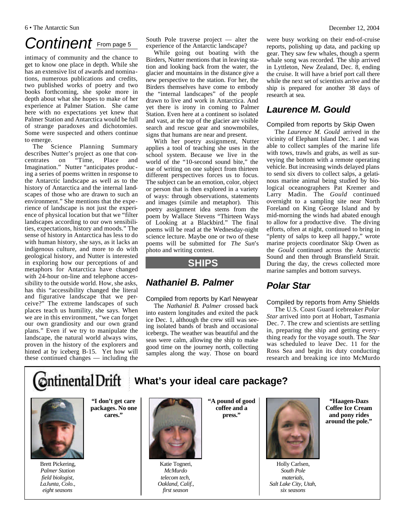## Continent **From page 5**

intimacy of community and the chance to get to know one place in depth. While she has an extensive list of awards and nominations, numerous publications and credits, two published works of poetry and two books forthcoming, she spoke more in depth about what she hopes to make of her experience at Palmer Station. She came here with no expectations yet knew that Palmer Station and Antarctica would be full of strange paradoxes and dichotomies. Some were suspected and others continue to emerge.

The Science Planning Summary describes Nutter's project as one that concentrates on "Time, Place and Imagination." Nutter "anticipates producing a series of poems written in response to the Antarctic landscape as well as to the history of Antarctica and the internal landscapes of those who are drawn to such an environment." She mentions that the experience of landscape is not just the experience of physical location but that we "filter landscapes according to our own sensibilities, expectations, history and moods." The sense of history in Antarctica has less to do with human history, she says, as it lacks an indigenous culture, and more to do with geological history, and Nutter is interested in exploring how our perceptions of and metaphors for Antarctica have changed with 24-hour on-line and telephone accessibility to the outside world. How, she asks, has this "accessibility changed the literal and figurative landscape that we perceive?" The extreme landscapes of such places teach us humility, she says. When we are in this environment, "we can forget our own grandiosity and our own grand plans." Even if we try to manipulate the landscape, the natural world always wins, proven in the history of the explorers and hinted at by iceberg B-15. Yet how will these continued changes — including the

**Ontinental Drift** 

South Pole traverse project — alter the experience of the Antarctic landscape?

While going out boating with the Birders, Nutter mentions that in leaving station and looking back from the water, the glacier and mountains in the distance give a new perspective to the station. For her, the Birders themselves have come to embody the "internal landscapes" of the people drawn to live and work in Antarctica. And yet there is irony in coming to Palmer Station. Even here at a continent so isolated and vast, at the top of the glacier are visible search and rescue gear and snowmobiles, signs that humans are near and present.

With her poetry assignment, Nutter applies a tool of teaching she uses in the school system. Because we live in the world of the "10-second sound bite," the use of writing on one subject from thirteen different perspectives forces us to focus. The subject can be an emotion, color, object or person that is then explored in a variety of ways: through observations, statements and images (simile and metaphor). This poetry assignment idea stems from the poem by Wallace Stevens "Thirteen Ways of Looking at a Blackbird." The final poems will be read at the Wednesday-night science lecture. Maybe one or two of these poems will be submitted for *The Sun*'s photo and writing contest.

### **SHIPS**

### *Nathaniel B. Palmer*

#### Compiled from reports by Karl Newyear

The *Nathaniel B. Palmer* crossed back into eastern longitudes and exited the pack ice Dec. 1, although the crew still was seeing isolated bands of brash and occasional icebergs. The weather was beautiful and the seas were calm, allowing the ship to make good time on the journey north, collecting samples along the way. Those on board

**What's your ideal care package?**

were busy working on their end-of-cruise reports, polishing up data, and packing up gear. They saw few whales, though a sperm whale song was recorded. The ship arrived in Lyttleton, New Zealand, Dec. 8, ending the cruise. It will have a brief port call there while the next set of scientists arrive and the ship is prepared for another 38 days of research at sea.

### *Laurence M. Gould*

### Compiled from reports by Skip Owen

The *Laurence M. Gould* arrived in the vicinity of Elephant Island Dec. 1 and was able to collect samples of the marine life with tows, trawls and grabs, as well as surveying the bottom with a remote operating vehicle. But increasing winds delayed plans to send six divers to collect salps, a gelatinous marine animal being studied by biological oceanographers Pat Kremer and Larry Madin. The *Gould* continued overnight to a sampling site near North Foreland on King George Island and by mid-morning the winds had abated enough to allow for a productive dive. The diving efforts, often at night, continued to bring in "plenty of salps to keep all happy," wrote marine projects coordinator Skip Owen as the *Gould* continued across the Antarctic Sound and then through Bransfield Strait. During the day, the crews collected more marine samples and bottom surveys.

### *Polar Star*

#### Compiled by reports from Amy Shields

The U.S. Coast Guard icebreaker *Polar Star* arrived into port at Hobart, Tasmania Dec. 7. The crew and scientists are settling in, preparing the ship and getting everything ready for the voyage south. The *Star* was scheduled to leave Dec. 11 for the Ross Sea and begin its duty conducting research and breaking ice into McMurdo



**packages. No one cares."**

Brett Pickering, *Palmer Station field biologist, LaJunta, Colo., eight seasons*

**"I don't get care**

Katie Togneri, *McMurdo telecom tech, Oakland, Calif., first season*

**"A pound of good coffee and a press."**



Holly Carlsen, *South Pole materials, Salt Lake City, Utah, six seasons*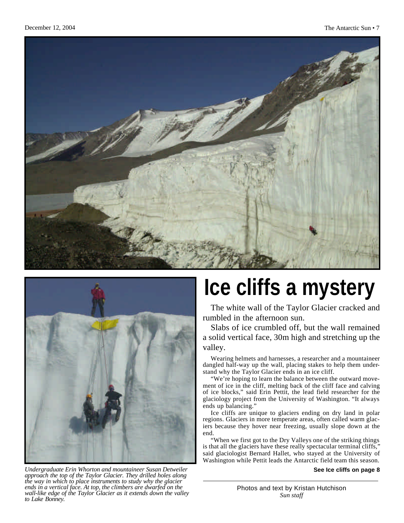



# **Ice cliffs a mystery**

The white wall of the Taylor Glacier cracked and rumbled in the afternoon sun.

Slabs of ice crumbled off, but the wall remained a solid vertical face, 30m high and stretching up the valley.

Wearing helmets and harnesses, a researcher and a mountaineer dangled half-way up the wall, placing stakes to help them understand why the Taylor Glacier ends in an ice cliff.

"We're hoping to learn the balance between the outward movement of ice in the cliff, melting back of the cliff face and calving of ice blocks," said Erin Pettit, the lead field researcher for the glaciology project from the University of Washington. "It always ends up balancing."

Ice cliffs are unique to glaciers ending on dry land in polar regions. Glaciers in more temperate areas, often called warm glaciers because they hover near freezing, usually slope down at the end.

"When we first got to the Dry Valleys one of the striking things is that all the glaciers have these really spectacular terminal cliffs," said glaciologist Bernard Hallet, who stayed at the University of Washington while Pettit leads the Antarctic field team this season.

**See Ice cliffs on page 8**

*Undergraduate Erin Whorton and mountaineer Susan Detweiler approach the top of the Taylor Glacier. They drilled holes along the way in which to place instruments to study why the glacier ends in a vertical face. At top, the climbers are dwarfed on the wall-like edge of the Taylor Glacier as it extends down the valley to Lake Bonney.*

Photos and text by Kristan Hutchison *Sun staff*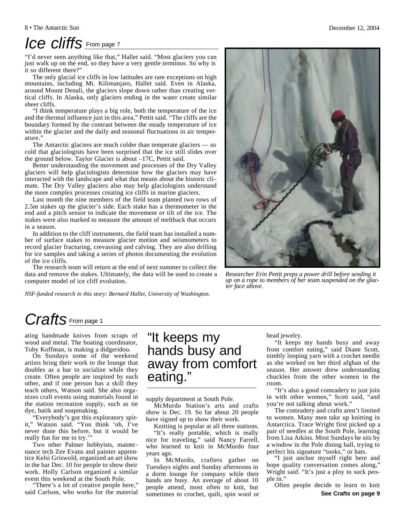### *Ice cliffs* From page 7

"I'd never seen anything like that," Hallet said. "Most glaciers you can just walk up on the end, so they have a very gentle terminus. So why is it so different there?"

The only glacial ice cliffs in low latitudes are rare exceptions on high mountains, including Mt. Kilimanjaro, Hallet said. Even in Alaska, around Mount Denali, the glaciers slope down rather than creating vertical cliffs. In Alaska, only glaciers ending in the water create similar sheer cliffs.

"I think temperature plays a big role, both the temperature of the ice and the thermal influence just in this area," Pettit said. "The cliffs are the boundary formed by the contrast between the steady temperature of ice within the glacier and the daily and seasonal fluctuations in air temperature."

The Antarctic glaciers are much colder than temperate glaciers — so cold that glaciologists have been surprised that the ice still slides over the ground below. Taylor Glacier is about –17C, Pettit said.

Better understanding the movement and processes of the Dry Valley glaciers will help glaciologists determine how the glaciers may have interacted with the landscape and what that means about the historic climate. The Dry Valley glaciers also may help glaciologists understand the more complex processes creating ice cliffs in marine glaciers.

Last month the nine members of the field team planted two rows of 2.5m stakes up the glacier's side. Each stake has a thermometer in the end and a pitch sensor to indicate the movement or tilt of the ice. The stakes were also marked to measure the amount of meltback that occurs in a season.

In addition to the cliff instruments, the field team has installed a number of surface stakes to measure glacier motion and seismometers to record glacier fracturing, crevassing and calving. They are also drilling for ice samples and taking a series of photos documenting the evolution of the ice cliffs.

The research team will return at the end of next summer to collect the data and remove the stakes. Ultimately, the data will be used to create a computer model of ice cliff evolution.

*NSF-funded research in this story: Bernard Hallet, University of Washington.* 

*Researcher Erin Pettit preps a power drill before sending it up on a rope to members of her team suspended on the glacier face above.*

### *Crafts* From page 1

ating handmade knives from scraps of wood and metal. The boating coordinator, Toby Koffman, is making a didgeridoo.

On Sundays some of the weekend artists bring their work to the lounge that doubles as a bar to socialize while they create. Often people are inspired by each other, and if one person has a skill they teach others, Watson said. She also organizes craft events using materials found in the station recreation supply, such as tie dye, batik and soapmaking.

"Everybody's got this exploratory spirit," Watson said. "You think 'oh, I've never done this before, but it would be really fun for me to try.'

Two other Palmer hobbyists, maintenance tech Zee Evans and painter apprentice Kelsi Griswold, organized an art show in the bar Dec. 10 for people to show their work. Holly Carlson organized a similar event this weekend at the South Pole.

"There's a lot of creative people here," said Carlson, who works for the material

### "It keeps my hands busy and away from comfort eating."

supply department at South Pole.

McMurdo Station's arts and crafts show is Dec. 19. So far about 20 people have signed up to show their work.

Knitting is popular at all three stations. "It's really portable, which is really nice for traveling," said Nancy Farrell, who learned to knit in McMurdo four years ago.

In McMurdo, crafters gather on Tuesdays nights and Sunday afternoons in a dorm lounge for company while their hands are busy. An average of about 10 people attend, most often to knit, but sometimes to crochet, quilt, spin wool or bead jewelry.

"It keeps my hands busy and away from comfort eating," said Diane Scott, nimbly looping yarn with a crochet needle as she worked on her third afghan of the season. Her answer drew understanding chuckles from the other women in the room.

"It's also a good comradery to just join in with other women," Scott said, "and you're not talking about work."

The comradery and crafts aren't limited to women. Many men take up knitting in Antarctica. Trace Wright first picked up a pair of needles at the South Pole, learning from Lisa Atkins. Most Sundays he sits by a window in the Pole dining hall, trying to perfect his signature "tooks," or hats.

"I just anchor myself right here and hope quality conversation comes along," Wright said. "It's just a ploy to suck people in."

Often people decide to learn to knit **See Crafts on page 9**

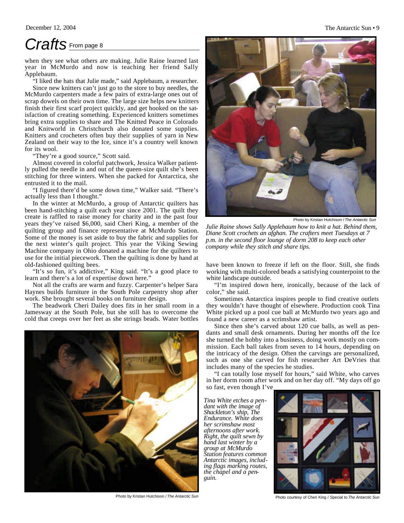### *Crafts* From page 8

when they see what others are making. Julie Raine learned last year in McMurdo and now is teaching her friend Sally Applebaum.

"I liked the hats that Julie made," said Applebaum, a researcher.

Since new knitters can't just go to the store to buy needles, the McMurdo carpenters made a few pairs of extra-large ones out of scrap dowels on their own time. The large size helps new knitters finish their first scarf project quickly, and get hooked on the satisfaction of creating something. Experienced knitters sometimes bring extra supplies to share and The Knitted Peace in Colorado and Knitworld in Christchurch also donated some supplies. Knitters and crocheters often buy their supplies of yarn in New Zealand on their way to the Ice, since it's a country well known for its wool.

"They're a good source," Scott said.

Almost covered in colorful patchwork, Jessica Walker patiently pulled the needle in and out of the queen-size quilt she's been stitching for three winters. When she packed for Antarctica, she entrusted it to the mail.

"I figured there'd be some down time," Walker said. "There's actually less than I thought."

In the winter at McMurdo, a group of Antarctic quilters has been hand-stitching a quilt each year since 2001. The quilt they create is raffled to raise money for charity and in the past four years they've raised \$6,000, said Cheri King, a member of the quilting group and finance representative at McMurdo Station. Some of the money is set aside to buy the fabric and supplies for the next winter's quilt project. This year the Viking Sewing Machine company in Ohio donated a machine for the quilters to use for the initial piecework. Then the quilting is done by hand at old-fashioned quilting bees.

"It's so fun, it's addictive," King said. "It's a good place to learn and there's a lot of expertise down here."

Not all the crafts are warm and fuzzy. Carpenter's helper Sara Haynes builds furniture in the South Pole carpentry shop after work. She brought several books on furniture design.

The beadwork Cheri Dailey does fits in her small room in a Jamesway at the South Pole, but she still has to overcome the cold that creeps over her feet as she strings beads. Water bottles



Photo by Kristan Hutchison / *The Antarctic Sun* Photo courtesy of Cheri King / Special to *The Antarctic Sun*



Photo by Kristan Hutchison / *The Antarctic Sun*

*Julie Raine shows Sally Applebaum how to knit a hat. Behind them, Diane Scott crochets an afghan. The crafters meet Tuesdays at 7 p.m. in the second floor lounge of dorm 208 to keep each other company while they stitch and share tips.*

have been known to freeze if left on the floor. Still, she finds working with multi-colored beads a satisfying counterpoint to the white landscape outside.

"I'm inspired down here, ironically, because of the lack of color," she said.

Sometimes Antarctica inspires people to find creative outlets they wouldn't have thought of elsewhere. Production cook Tina White picked up a pool cue ball at McMurdo two years ago and found a new career as a scrimshaw artist.

Since then she's carved about 120 cue balls, as well as pendants and small desk ornaments. During her months off the Ice she turned the hobby into a business, doing work mostly on commission. Each ball takes from seven to 14 hours, depending on the intricacy of the design. Often the carvings are personalized, such as one she carved for fish researcher Art DeVries that includes many of the species he studies.

"I can totally lose myself for hours," said White, who carves in her dorm room after work and on her day off. "My days off go so fast, even though I've

*Tina White etches a pendant with the image of Shackleton's ship, The Endurance. White does her scrimshaw most afternoons after work. Right, the quilt sewn by hand last winter by a group at McMurdo Station features common Antarctic images, including flags marking routes, the chapel and a penguin.*

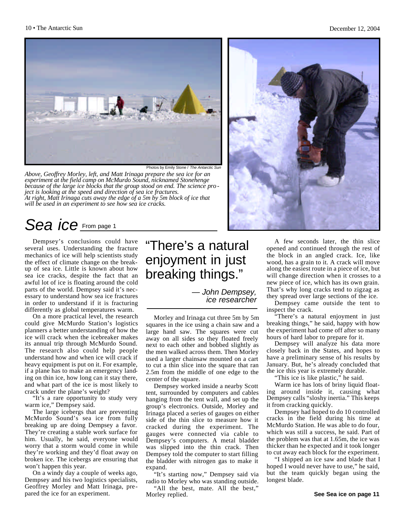

Photos by Emily Stone / The Antarctic Su

*Above, Geoffrey Morley, left, and Matt Irinaga prepare the sea ice for an experiment at the field camp on McMurdo Sound, nicknamed Stonehenge because of the large ice blocks that the group stood on end. The science pro ject is looking at the speed and direction of sea ice fractures. At right, Matt Irinaga cuts away the edge of a 5m by 5m block of ice that will be used in an experiment to see how sea ice cracks.*

### *Sea ice* From page 1

Dempsey's conclusions could have several uses. Understanding the fracture mechanics of ice will help scientists study the effect of climate change on the breakup of sea ice. Little is known about how sea ice cracks, despite the fact that an awful lot of ice is floating around the cold parts of the world. Dempsey said it's necessary to understand how sea ice fractures in order to understand if it is fracturing differently as global temperatures warm.

On a more practical level, the research could give McMurdo Station's logistics planners a better understanding of how the ice will crack when the icebreaker makes its annual trip through McMurdo Sound. The research also could help people understand how and when ice will crack if heavy equipment is put on it. For example, if a plane has to make an emergency landing on thin ice, how long can it stay there, and what part of the ice is most likely to crack under the plane's weight?

"It's a rare opportunity to study very warm ice," Dempsey said.

The large icebergs that are preventing McMurdo Sound's sea ice from fully breaking up are doing Dempsey a favor. They're creating a stable work surface for him. Usually, he said, everyone would worry that a storm would come in while they're working and they'd float away on broken ice. The icebergs are ensuring that won't happen this year.

On a windy day a couple of weeks ago, Dempsey and his two logistics specialists, Geoffrey Morley and Matt Irinaga, prepared the ice for an experiment.

### "There's a natural enjoyment in just breaking things."

*— John Dempsey, ice researcher*

Morley and Irinaga cut three 5m by 5m squares in the ice using a chain saw and a large hand saw. The squares were cut away on all sides so they floated freely next to each other and bobbed slightly as the men walked across them. Then Morley used a larger chainsaw mounted on a cart to cut a thin slice into the square that ran 2.5m from the middle of one edge to the center of the square.

Dempsey worked inside a nearby Scott tent, surrounded by computers and cables hanging from the tent wall, and set up the group's electronics. Outside, Morley and Irinaga placed a series of gauges on either side of the thin slice to measure how it cracked during the experiment. The gauges were connected via cable to Dempsey's computers. A metal bladder was slipped into the thin crack. Then Dempsey told the computer to start filling the bladder with nitrogen gas to make it expand.

"It's starting now," Dempsey said via radio to Morley who was standing outside.

"All the best, mate. All the best," Morley replied.



A few seconds later, the thin slice opened and continued through the rest of the block in an angled crack. Ice, like wood, has a grain to it. A crack will move along the easiest route in a piece of ice, but will change direction when it crosses to a new piece of ice, which has its own grain. That's why long cracks tend to zigzag as they spread over large sections of the ice.

Dempsey came outside the tent to inspect the crack.

"There's a natural enjoyment in just breaking things," he said, happy with how the experiment had come off after so many hours of hard labor to prepare for it.

Dempsey will analyze his data more closely back in the States, and hopes to have a preliminary sense of his results by January. But, he's already concluded that the ice this year is extremely durable.

"This ice is like plastic," he said.

Warm ice has lots of briny liquid floating around inside it, causing what Dempsey calls "sloshy inertia." This keeps it from cracking quickly.

Dempsey had hoped to do 10 controlled cracks in the field during his time at McMurdo Station. He was able to do four, which was still a success, he said. Part of the problem was that at 1.65m, the ice was thicker than he expected and it took longer to cut away each block for the experiment.

"I shipped an ice saw and blade that I hoped I would never have to use," he said, but the team quickly began using the longest blade.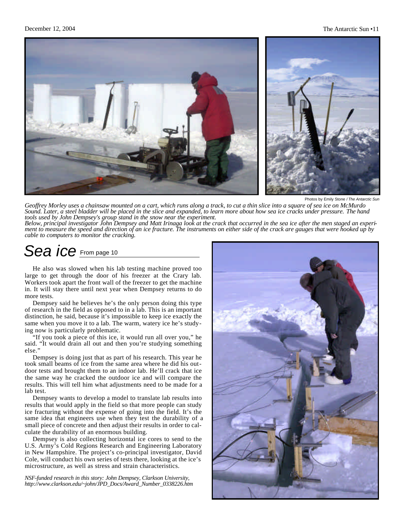



Photos by Emily Stone / *The Antarctic Sun*

*Geoffrey Morley uses a chainsaw mounted on a cart, which runs along a track, to cut a thin slice into a square of sea ice on McMurdo Sound. Later, a steel bladder will be placed in the slice and expanded, to learn more about how sea ice cracks under pressure. The hand tools used by John Dempsey's group stand in the snow near the experiment.*

*Below, principal investigator John Dempsey and Matt Irinaga look at the crack that occurred in the sea ice after the men staged an experiment to measure the speed and direction of an ice fracture. The instruments on either side of the crack are gauges that were hooked up by cable to computers to monitor the cracking.*

### *Sea ice* From page 10

He also was slowed when his lab testing machine proved too large to get through the door of his freezer at the Crary lab. Workers took apart the front wall of the freezer to get the machine in. It will stay there until next year when Dempsey returns to do more tests.

Dempsey said he believes he's the only person doing this type of research in the field as opposed to in a lab. This is an important distinction, he said, because it's impossible to keep ice exactly the same when you move it to a lab. The warm, watery ice he's studying now is particularly problematic.

"If you took a piece of this ice, it would run all over you," he said. "It would drain all out and then you're studying something else."

Dempsey is doing just that as part of his research. This year he took small beams of ice from the same area where he did his outdoor tests and brought them to an indoor lab. He'll crack that ice the same way he cracked the outdoor ice and will compare the results. This will tell him what adjustments need to be made for a lab test.

Dempsey wants to develop a model to translate lab results into results that would apply in the field so that more people can study ice fracturing without the expense of going into the field. It's the same idea that engineers use when they test the durability of a small piece of concrete and then adjust their results in order to calculate the durability of an enormous building.

Dempsey is also collecting horizontal ice cores to send to the U.S. Army's Cold Regions Research and Engineering Laboratory in New Hampshire. The project's co-principal investigator, David Cole, will conduct his own series of tests there, looking at the ice's microstructure, as well as stress and strain characteristics.

*NSF-funded research in this story: John Dempsey, Clarkson University, http://www.clarkson.edu/~john/JPD\_Docs/Award\_Number\_0338226.htm*